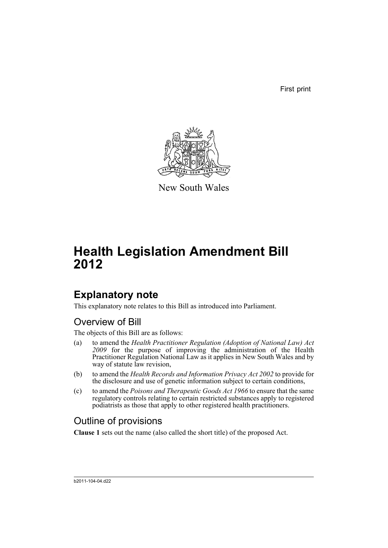First print



New South Wales

# **Health Legislation Amendment Bill 2012**

# **Explanatory note**

This explanatory note relates to this Bill as introduced into Parliament.

## Overview of Bill

The objects of this Bill are as follows:

- (a) to amend the *Health Practitioner Regulation (Adoption of National Law) Act 2009* for the purpose of improving the administration of the Health Practitioner Regulation National Law as it applies in New South Wales and by way of statute law revision,
- (b) to amend the *Health Records and Information Privacy Act 2002* to provide for the disclosure and use of genetic information subject to certain conditions,
- (c) to amend the *Poisons and Therapeutic Goods Act 1966* to ensure that the same regulatory controls relating to certain restricted substances apply to registered podiatrists as those that apply to other registered health practitioners.

## Outline of provisions

**Clause 1** sets out the name (also called the short title) of the proposed Act.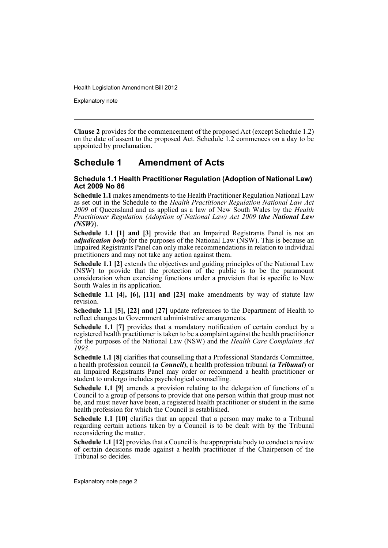Explanatory note

**Clause 2** provides for the commencement of the proposed Act (except Schedule 1.2) on the date of assent to the proposed Act. Schedule 1.2 commences on a day to be appointed by proclamation.

## **Schedule 1 Amendment of Acts**

### **Schedule 1.1 Health Practitioner Regulation (Adoption of National Law) Act 2009 No 86**

**Schedule 1.1** makes amendments to the Health Practitioner Regulation National Law as set out in the Schedule to the *Health Practitioner Regulation National Law Act 2009* of Queensland and as applied as a law of New South Wales by the *Health Practitioner Regulation (Adoption of National Law) Act 2009* (*the National Law (NSW)*).

**Schedule 1.1 [1] and [3]** provide that an Impaired Registrants Panel is not an *adjudication body* for the purposes of the National Law (NSW). This is because an Impaired Registrants Panel can only make recommendations in relation to individual practitioners and may not take any action against them.

**Schedule 1.1 [2]** extends the objectives and guiding principles of the National Law (NSW) to provide that the protection of the public is to be the paramount consideration when exercising functions under a provision that is specific to New South Wales in its application.

**Schedule 1.1 [4], [6], [11] and [23]** make amendments by way of statute law revision.

**Schedule 1.1 [5], [22] and [27]** update references to the Department of Health to reflect changes to Government administrative arrangements.

**Schedule 1.1 [7]** provides that a mandatory notification of certain conduct by a registered health practitioner is taken to be a complaint against the health practitioner for the purposes of the National Law (NSW) and the *Health Care Complaints Act 1993*.

**Schedule 1.1 [8]** clarifies that counselling that a Professional Standards Committee, a health profession council (*a Council*), a health profession tribunal (*a Tribunal*) or an Impaired Registrants Panel may order or recommend a health practitioner or student to undergo includes psychological counselling.

**Schedule 1.1 [9]** amends a provision relating to the delegation of functions of a Council to a group of persons to provide that one person within that group must not be, and must never have been, a registered health practitioner or student in the same health profession for which the Council is established.

**Schedule 1.1 [10]** clarifies that an appeal that a person may make to a Tribunal regarding certain actions taken by a Council is to be dealt with by the Tribunal reconsidering the matter.

**Schedule 1.1 [12]** provides that a Council is the appropriate body to conduct a review of certain decisions made against a health practitioner if the Chairperson of the Tribunal so decides.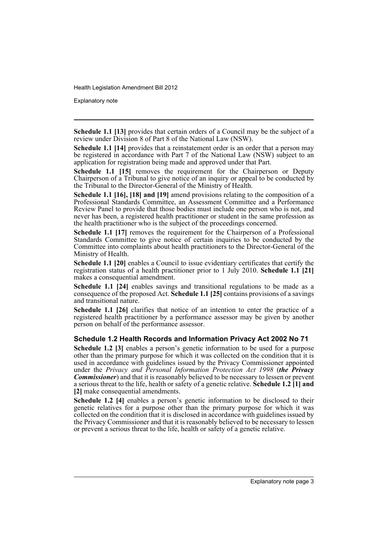Explanatory note

**Schedule 1.1 [13]** provides that certain orders of a Council may be the subject of a review under Division 8 of Part 8 of the National Law (NSW).

**Schedule 1.1 [14]** provides that a reinstatement order is an order that a person may be registered in accordance with Part 7 of the National Law (NSW) subject to an application for registration being made and approved under that Part.

**Schedule 1.1 [15]** removes the requirement for the Chairperson or Deputy Chairperson of a Tribunal to give notice of an inquiry or appeal to be conducted by the Tribunal to the Director-General of the Ministry of Health.

**Schedule 1.1 [16], [18] and [19]** amend provisions relating to the composition of a Professional Standards Committee, an Assessment Committee and a Performance Review Panel to provide that those bodies must include one person who is not, and never has been, a registered health practitioner or student in the same profession as the health practitioner who is the subject of the proceedings concerned.

**Schedule 1.1 [17]** removes the requirement for the Chairperson of a Professional Standards Committee to give notice of certain inquiries to be conducted by the Committee into complaints about health practitioners to the Director-General of the Ministry of Health.

**Schedule 1.1 [20]** enables a Council to issue evidentiary certificates that certify the registration status of a health practitioner prior to 1 July 2010. **Schedule 1.1 [21]** makes a consequential amendment.

**Schedule 1.1 [24]** enables savings and transitional regulations to be made as a consequence of the proposed Act. **Schedule 1.1 [25]** contains provisions of a savings and transitional nature.

**Schedule 1.1 [26]** clarifies that notice of an intention to enter the practice of a registered health practitioner by a performance assessor may be given by another person on behalf of the performance assessor.

### **Schedule 1.2 Health Records and Information Privacy Act 2002 No 71**

**Schedule 1.2 [3]** enables a person's genetic information to be used for a purpose other than the primary purpose for which it was collected on the condition that it is used in accordance with guidelines issued by the Privacy Commissioner appointed under the *Privacy and Personal Information Protection Act 1998* (*the Privacy Commissioner*) and that it is reasonably believed to be necessary to lessen or prevent a serious threat to the life, health or safety of a genetic relative. **Schedule 1.2 [1] and [2]** make consequential amendments.

**Schedule 1.2 [4]** enables a person's genetic information to be disclosed to their genetic relatives for a purpose other than the primary purpose for which it was collected on the condition that it is disclosed in accordance with guidelines issued by the Privacy Commissioner and that it is reasonably believed to be necessary to lessen or prevent a serious threat to the life, health or safety of a genetic relative.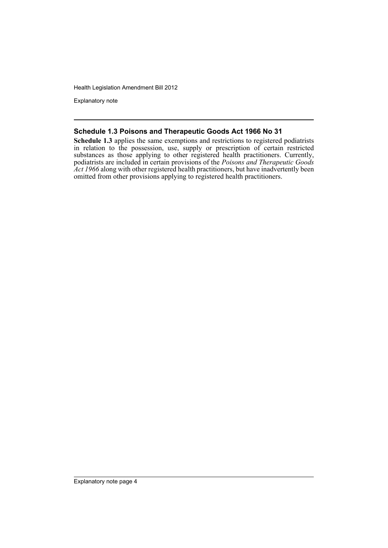Explanatory note

## **Schedule 1.3 Poisons and Therapeutic Goods Act 1966 No 31**

**Schedule 1.3** applies the same exemptions and restrictions to registered podiatrists in relation to the possession, use, supply or prescription of certain restricted substances as those applying to other registered health practitioners. Currently, podiatrists are included in certain provisions of the *Poisons and Therapeutic Goods Act 1966* along with other registered health practitioners, but have inadvertently been omitted from other provisions applying to registered health practitioners.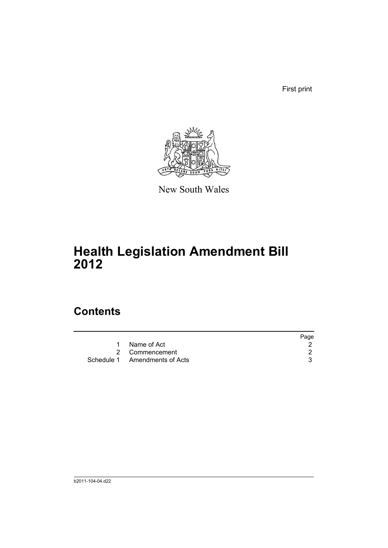First print



New South Wales

# **Health Legislation Amendment Bill 2012**

## **Contents**

|                               | Page |
|-------------------------------|------|
| Name of Act<br>1              |      |
| 2 Commencement                |      |
| Schedule 1 Amendments of Acts |      |
|                               |      |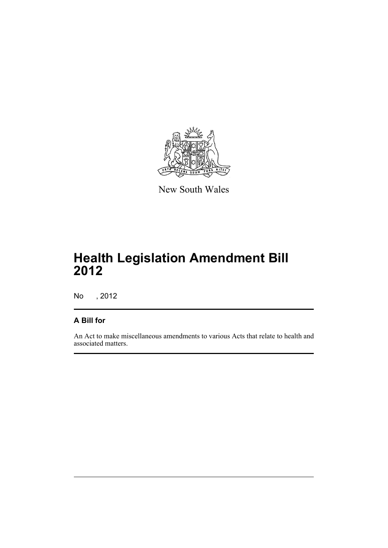

New South Wales

# **Health Legislation Amendment Bill 2012**

No , 2012

## **A Bill for**

An Act to make miscellaneous amendments to various Acts that relate to health and associated matters.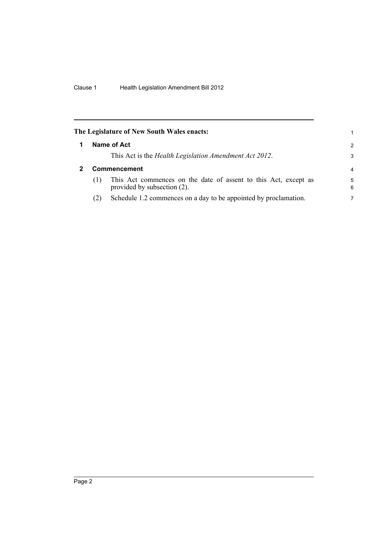<span id="page-7-1"></span><span id="page-7-0"></span>

|     | The Legislature of New South Wales enacts:                                                     | 1             |
|-----|------------------------------------------------------------------------------------------------|---------------|
|     | Name of Act                                                                                    | $\mathcal{P}$ |
|     | This Act is the Health Legislation Amendment Act 2012.                                         | 3             |
|     | Commencement                                                                                   | 4             |
| (1) | This Act commences on the date of assent to this Act, except as<br>provided by subsection (2). | 5<br>6        |
| (2) | Schedule 1.2 commences on a day to be appointed by proclamation.                               | 7             |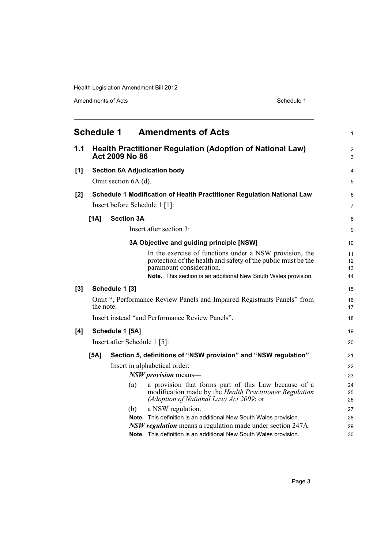<span id="page-8-0"></span>

|     |           |                               | <b>Schedule 1 Amendments of Acts</b>                                                                                                                                                                                   | 1                    |
|-----|-----------|-------------------------------|------------------------------------------------------------------------------------------------------------------------------------------------------------------------------------------------------------------------|----------------------|
| 1.1 |           | Act 2009 No 86                | <b>Health Practitioner Regulation (Adoption of National Law)</b>                                                                                                                                                       | $\overline{c}$<br>3  |
| [1] |           |                               | <b>Section 6A Adjudication body</b>                                                                                                                                                                                    | 4                    |
|     |           | Omit section 6A (d).          |                                                                                                                                                                                                                        | 5                    |
| [2] |           |                               | Schedule 1 Modification of Health Practitioner Regulation National Law                                                                                                                                                 | 6                    |
|     |           | Insert before Schedule 1 [1]: |                                                                                                                                                                                                                        | 7                    |
|     | [1A]      | <b>Section 3A</b>             |                                                                                                                                                                                                                        | 8                    |
|     |           |                               | Insert after section 3:                                                                                                                                                                                                | 9                    |
|     |           |                               | 3A Objective and guiding principle [NSW]                                                                                                                                                                               | 10                   |
|     |           |                               | In the exercise of functions under a NSW provision, the<br>protection of the health and safety of the public must be the<br>paramount consideration.<br>Note. This section is an additional New South Wales provision. | 11<br>12<br>13<br>14 |
| [3] |           | Schedule 1 [3]                |                                                                                                                                                                                                                        | 15                   |
|     | the note. |                               | Omit ", Performance Review Panels and Impaired Registrants Panels" from                                                                                                                                                | 16<br>17             |
|     |           |                               | Insert instead "and Performance Review Panels".                                                                                                                                                                        | 18                   |
| [4] |           | Schedule 1 [5A]               |                                                                                                                                                                                                                        | 19                   |
|     |           | Insert after Schedule 1 [5]:  |                                                                                                                                                                                                                        | 20                   |
|     | [5A]      |                               | Section 5, definitions of "NSW provision" and "NSW regulation"                                                                                                                                                         | 21                   |
|     |           |                               | Insert in alphabetical order:                                                                                                                                                                                          | 22                   |
|     |           |                               | $NSW$ provision means—                                                                                                                                                                                                 | 23                   |
|     |           | (a)                           | a provision that forms part of this Law because of a<br>modification made by the Health Practitioner Regulation<br>(Adoption of National Law) Act 2009; or                                                             | 24<br>25<br>26       |
|     |           | (b)                           | a NSW regulation.                                                                                                                                                                                                      | 27                   |
|     |           |                               | Note. This definition is an additional New South Wales provision.                                                                                                                                                      | 28                   |
|     |           |                               | <b>NSW regulation</b> means a regulation made under section 247A.                                                                                                                                                      | 29                   |
|     |           |                               | Note. This definition is an additional New South Wales provision.                                                                                                                                                      | 30                   |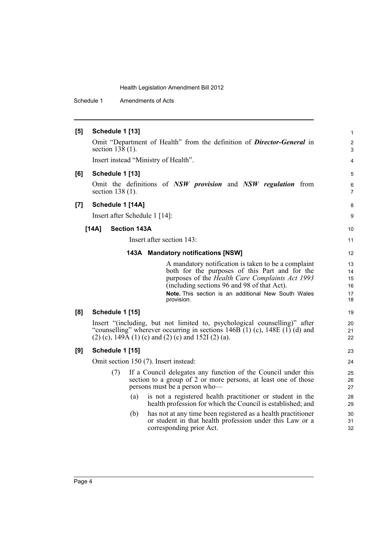Schedule 1 Amendments of Acts

| [5] | Schedule 1 [13]               |                     |                                                                                                                                                                                                                                                                              | $\mathbf{1}$                     |
|-----|-------------------------------|---------------------|------------------------------------------------------------------------------------------------------------------------------------------------------------------------------------------------------------------------------------------------------------------------------|----------------------------------|
|     | section $138(1)$ .            |                     | Omit "Department of Health" from the definition of <b>Director-General</b> in                                                                                                                                                                                                | $\overline{2}$<br>3              |
|     |                               |                     | Insert instead "Ministry of Health".                                                                                                                                                                                                                                         | 4                                |
| [6] | Schedule 1 [13]               |                     |                                                                                                                                                                                                                                                                              | 5                                |
|     | section $138(1)$ .            |                     | Omit the definitions of NSW provision and NSW regulation from                                                                                                                                                                                                                | 6<br>$\overline{7}$              |
| [7] | Schedule 1 [14A]              |                     |                                                                                                                                                                                                                                                                              | 8                                |
|     | Insert after Schedule 1 [14]: |                     |                                                                                                                                                                                                                                                                              | 9                                |
|     | [14A]                         | <b>Section 143A</b> |                                                                                                                                                                                                                                                                              | 10                               |
|     |                               |                     | Insert after section 143:                                                                                                                                                                                                                                                    | 11                               |
|     |                               |                     | 143A Mandatory notifications [NSW]                                                                                                                                                                                                                                           | 12                               |
|     |                               |                     | A mandatory notification is taken to be a complaint<br>both for the purposes of this Part and for the<br>purposes of the Health Care Complaints Act 1993<br>(including sections 96 and 98 of that Act).<br>Note. This section is an additional New South Wales<br>provision. | 13<br>14<br>15<br>16<br>17<br>18 |
| [8] | Schedule 1 [15]               |                     |                                                                                                                                                                                                                                                                              | 19                               |
|     |                               |                     | Insert "(including, but not limited to, psychological counselling)" after<br>"counselling" wherever occurring in sections $146B(1)$ (c), $148E(1)$ (d) and<br>$(2)$ (c), 149A (1) (c) and (2) (c) and 152I (2) (a).                                                          | 20<br>21<br>22                   |
| [9] | Schedule 1 [15]               |                     |                                                                                                                                                                                                                                                                              | 23                               |
|     |                               |                     | Omit section 150 (7). Insert instead:                                                                                                                                                                                                                                        | 24                               |
|     | (7)                           |                     | If a Council delegates any function of the Council under this<br>section to a group of 2 or more persons, at least one of those<br>persons must be a person who-                                                                                                             | 25<br>26<br>27                   |
|     |                               | (a)                 | is not a registered health practitioner or student in the<br>health profession for which the Council is established; and                                                                                                                                                     | 28<br>29                         |
|     |                               | (b)                 | has not at any time been registered as a health practitioner<br>or student in that health profession under this Law or a<br>corresponding prior Act.                                                                                                                         | 30<br>31<br>32                   |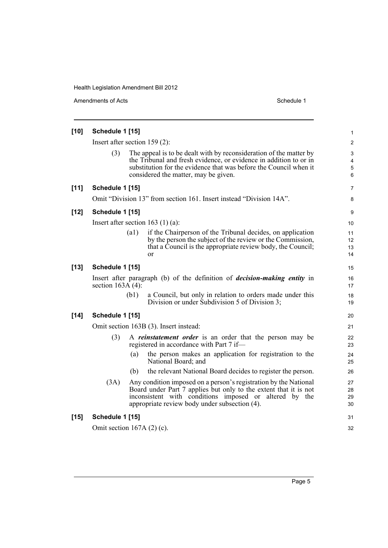| $[10]$ | Schedule 1 [15]                 |                    |                                                                                                                                                                                                                                                      | 1                    |  |
|--------|---------------------------------|--------------------|------------------------------------------------------------------------------------------------------------------------------------------------------------------------------------------------------------------------------------------------------|----------------------|--|
|        | Insert after section $159(2)$ : |                    |                                                                                                                                                                                                                                                      | $\overline{c}$       |  |
|        | (3)                             |                    | The appeal is to be dealt with by reconsideration of the matter by<br>the Tribunal and fresh evidence, or evidence in addition to or in<br>substitution for the evidence that was before the Council when it<br>considered the matter, may be given. | 3<br>4<br>5<br>6     |  |
| $[11]$ | Schedule 1 [15]                 |                    |                                                                                                                                                                                                                                                      | 7                    |  |
|        |                                 |                    | Omit "Division 13" from section 161. Insert instead "Division 14A".                                                                                                                                                                                  | 8                    |  |
| $[12]$ | Schedule 1 [15]                 |                    |                                                                                                                                                                                                                                                      | 9                    |  |
|        |                                 |                    | Insert after section 163 $(1)$ (a):                                                                                                                                                                                                                  | 10                   |  |
|        |                                 | $\left( a1\right)$ | if the Chairperson of the Tribunal decides, on application<br>by the person the subject of the review or the Commission,<br>that a Council is the appropriate review body, the Council;<br>or                                                        | 11<br>12<br>13<br>14 |  |
| $[13]$ | Schedule 1 [15]                 |                    |                                                                                                                                                                                                                                                      | 15                   |  |
|        | section $163A(4)$ :             |                    | Insert after paragraph (b) of the definition of <i>decision-making entity</i> in                                                                                                                                                                     | 16<br>17             |  |
|        |                                 | (b1)               | a Council, but only in relation to orders made under this<br>Division or under Subdivision 5 of Division 3;                                                                                                                                          | 18<br>19             |  |
| $[14]$ | Schedule 1 [15]                 |                    |                                                                                                                                                                                                                                                      | 20                   |  |
|        |                                 |                    | Omit section 163B (3). Insert instead:                                                                                                                                                                                                               | 21                   |  |
|        | (3)                             |                    | A <i>reinstatement order</i> is an order that the person may be<br>registered in accordance with Part 7 if—                                                                                                                                          | 22<br>23             |  |
|        |                                 | (a)                | the person makes an application for registration to the<br>National Board; and                                                                                                                                                                       | 24<br>25             |  |
|        |                                 | (b)                | the relevant National Board decides to register the person.                                                                                                                                                                                          | 26                   |  |
|        | (3A)                            |                    | Any condition imposed on a person's registration by the National<br>Board under Part 7 applies but only to the extent that it is not<br>inconsistent with conditions imposed or altered by the<br>appropriate review body under subsection (4).      | 27<br>28<br>29<br>30 |  |
| $[15]$ | Schedule 1 [15]                 |                    |                                                                                                                                                                                                                                                      | 31                   |  |
|        | Omit section $167A(2)$ (c).     |                    |                                                                                                                                                                                                                                                      |                      |  |
|        |                                 |                    |                                                                                                                                                                                                                                                      |                      |  |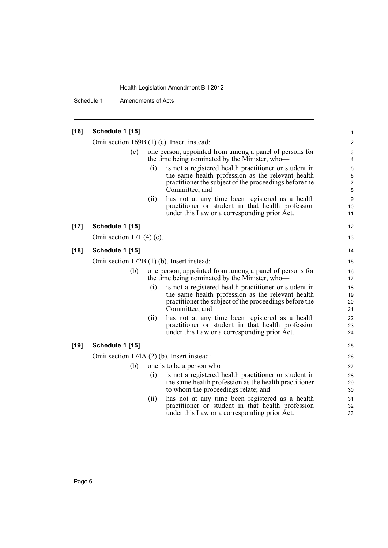Schedule 1 Amendments of Acts

| $[16]$ | Schedule 1 [15]<br>Omit section 169B (1) (c). Insert instead:<br>(c) |      |                                                                                                                                                                                        | 1                             |
|--------|----------------------------------------------------------------------|------|----------------------------------------------------------------------------------------------------------------------------------------------------------------------------------------|-------------------------------|
|        |                                                                      |      |                                                                                                                                                                                        |                               |
|        |                                                                      |      |                                                                                                                                                                                        | $\overline{2}$                |
|        |                                                                      |      | one person, appointed from among a panel of persons for<br>the time being nominated by the Minister, who-                                                                              | 3<br>4                        |
|        |                                                                      | (i)  | is not a registered health practitioner or student in<br>the same health profession as the relevant health<br>practitioner the subject of the proceedings before the<br>Committee; and | 5<br>6<br>$\overline{7}$<br>8 |
|        |                                                                      | (ii) | has not at any time been registered as a health<br>practitioner or student in that health profession<br>under this Law or a corresponding prior Act.                                   | 9<br>10<br>11                 |
| $[17]$ | Schedule 1 [15]                                                      |      |                                                                                                                                                                                        | 12                            |
|        | Omit section $171(4)$ (c).                                           |      |                                                                                                                                                                                        | 13                            |
| $[18]$ | Schedule 1 [15]                                                      |      |                                                                                                                                                                                        | 14                            |
|        | Omit section 172B (1) (b). Insert instead:                           |      |                                                                                                                                                                                        | 15                            |
|        | (b)                                                                  |      | one person, appointed from among a panel of persons for<br>the time being nominated by the Minister, who-                                                                              | 16<br>17                      |
|        |                                                                      | (i)  | is not a registered health practitioner or student in<br>the same health profession as the relevant health<br>practitioner the subject of the proceedings before the<br>Committee; and | 18<br>19<br>20<br>21          |
|        |                                                                      | (i)  | has not at any time been registered as a health<br>practitioner or student in that health profession<br>under this Law or a corresponding prior Act.                                   | 22<br>23<br>24                |
| $[19]$ | Schedule 1 [15]                                                      |      |                                                                                                                                                                                        | 25                            |
|        | Omit section 174A (2) (b). Insert instead:                           |      |                                                                                                                                                                                        | 26                            |
|        | (b)                                                                  |      | one is to be a person who-                                                                                                                                                             | 27                            |
|        |                                                                      | (i)  | is not a registered health practitioner or student in<br>the same health profession as the health practitioner<br>to whom the proceedings relate; and                                  | 28<br>29<br>30                |
|        |                                                                      | (ii) | has not at any time been registered as a health<br>practitioner or student in that health profession<br>under this Law or a corresponding prior Act.                                   | 31<br>32<br>33                |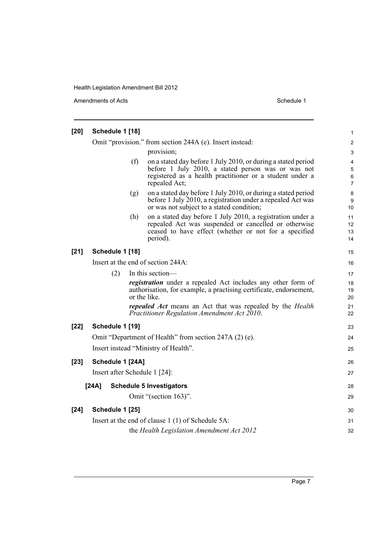| $[20]$ | Schedule 1 [18]               |     |                                                                                                                                                                                                  | 1                    |
|--------|-------------------------------|-----|--------------------------------------------------------------------------------------------------------------------------------------------------------------------------------------------------|----------------------|
|        |                               |     | Omit "provision." from section 244A (e). Insert instead:                                                                                                                                         | $\overline{c}$       |
|        |                               |     | provision;                                                                                                                                                                                       | $\mathsf 3$          |
|        |                               | (f) | on a stated day before 1 July 2010, or during a stated period<br>before 1 July 2010, a stated person was or was not<br>registered as a health practitioner or a student under a<br>repealed Act; | 4<br>5<br>6<br>7     |
|        |                               | (g) | on a stated day before 1 July 2010, or during a stated period<br>before 1 July 2010, a registration under a repealed Act was<br>or was not subject to a stated condition;                        | 8<br>9<br>10         |
|        |                               | (h) | on a stated day before 1 July 2010, a registration under a<br>repealed Act was suspended or cancelled or otherwise<br>ceased to have effect (whether or not for a specified<br>period).          | 11<br>12<br>13<br>14 |
| $[21]$ | Schedule 1 [18]               |     |                                                                                                                                                                                                  | 15                   |
|        |                               |     | Insert at the end of section 244A:                                                                                                                                                               | 16                   |
|        | (2)                           |     | In this section-                                                                                                                                                                                 | 17                   |
|        |                               |     | <i>registration</i> under a repealed Act includes any other form of<br>authorisation, for example, a practising certificate, endorsement,<br>or the like.                                        | 18<br>19<br>20       |
|        |                               |     | <i>repealed Act</i> means an Act that was repealed by the <i>Health</i><br>Practitioner Regulation Amendment Act 2010.                                                                           | 21<br>22             |
| $[22]$ | Schedule 1 [19]               |     |                                                                                                                                                                                                  | 23                   |
|        |                               |     | Omit "Department of Health" from section 247A (2) (e).                                                                                                                                           | 24                   |
|        |                               |     | Insert instead "Ministry of Health".                                                                                                                                                             | 25                   |
| $[23]$ | Schedule 1 [24A]              |     |                                                                                                                                                                                                  | 26                   |
|        | Insert after Schedule 1 [24]: |     |                                                                                                                                                                                                  | 27                   |
|        | [24A]                         |     | <b>Schedule 5 Investigators</b>                                                                                                                                                                  | 28                   |
|        |                               |     | Omit "(section 163)".                                                                                                                                                                            | 29                   |
| $[24]$ | Schedule 1 [25]               |     |                                                                                                                                                                                                  | 30                   |
|        |                               |     | Insert at the end of clause 1 (1) of Schedule 5A:                                                                                                                                                | 31                   |
|        |                               |     | the Health Legislation Amendment Act 2012                                                                                                                                                        | 32                   |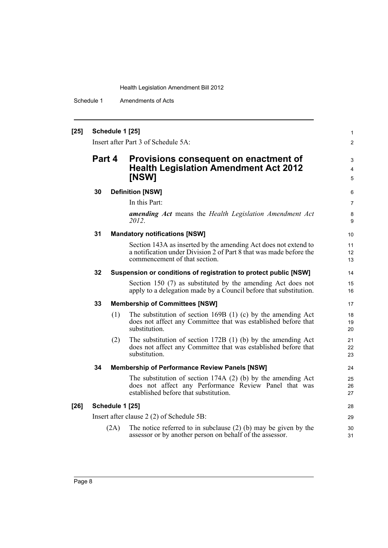Schedule 1 Amendments of Acts

## **[25] Schedule 1 [25]**

Insert after Part 3 of Schedule 5A:

## **Part 4 Provisions consequent on enactment of Health Legislation Amendment Act 2012 [NSW]**

#### **30 Definition [NSW]**

In this Part:

*amending Act* means the *Health Legislation Amendment Act 2012*.

1 2

3 4 5

#### **31 Mandatory notifications [NSW]**

Section 143A as inserted by the amending Act does not extend to a notification under Division 2 of Part 8 that was made before the commencement of that section.

#### **32 Suspension or conditions of registration to protect public [NSW]**

Section 150 (7) as substituted by the amending Act does not apply to a delegation made by a Council before that substitution.

### **33 Membership of Committees [NSW]**

- (1) The substitution of section 169B (1) (c) by the amending Act does not affect any Committee that was established before that substitution.
- (2) The substitution of section 172B (1) (b) by the amending Act does not affect any Committee that was established before that substitution.

### **34 Membership of Performance Review Panels [NSW]**

The substitution of section 174A (2) (b) by the amending Act does not affect any Performance Review Panel that was established before that substitution.

### **[26] Schedule 1 [25]**

Insert after clause 2 (2) of Schedule 5B:

(2A) The notice referred to in subclause (2) (b) may be given by the assessor or by another person on behalf of the assessor.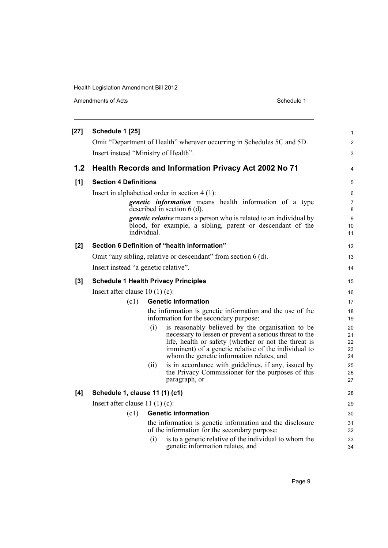|                  | Amendments of Acts                                             |                                                                                                                                                                                                                                                                                | Schedule 1 |  |
|------------------|----------------------------------------------------------------|--------------------------------------------------------------------------------------------------------------------------------------------------------------------------------------------------------------------------------------------------------------------------------|------------|--|
| $[27]$           | Schedule 1 [25]<br>Insert instead "Ministry of Health".        | Omit "Department of Health" wherever occurring in Schedules 5C and 5D.                                                                                                                                                                                                         |            |  |
| 1.2 <sub>1</sub> |                                                                | <b>Health Records and Information Privacy Act 2002 No 71</b>                                                                                                                                                                                                                   |            |  |
| [1]              | <b>Section 4 Definitions</b>                                   |                                                                                                                                                                                                                                                                                |            |  |
|                  |                                                                | Insert in alphabetical order in section $4(1)$ :                                                                                                                                                                                                                               |            |  |
|                  |                                                                | <i>genetic information</i> means health information of a type<br>described in section $6$ (d).                                                                                                                                                                                 |            |  |
|                  |                                                                | <i>genetic relative</i> means a person who is related to an individual by<br>blood, for example, a sibling, parent or descendant of the<br>individual.                                                                                                                         |            |  |
| [2]              |                                                                | Section 6 Definition of "health information"                                                                                                                                                                                                                                   |            |  |
|                  | Omit "any sibling, relative or descendant" from section 6 (d). |                                                                                                                                                                                                                                                                                |            |  |
|                  | Insert instead "a genetic relative".                           |                                                                                                                                                                                                                                                                                |            |  |
| [3]              |                                                                | <b>Schedule 1 Health Privacy Principles</b>                                                                                                                                                                                                                                    |            |  |
|                  | Insert after clause $10(1)(c)$ :                               |                                                                                                                                                                                                                                                                                |            |  |
|                  | (c1)                                                           | <b>Genetic information</b>                                                                                                                                                                                                                                                     |            |  |
|                  |                                                                | the information is genetic information and the use of the<br>information for the secondary purpose:                                                                                                                                                                            |            |  |
|                  |                                                                | is reasonably believed by the organisation to be<br>(i)<br>necessary to lessen or prevent a serious threat to the<br>life, health or safety (whether or not the threat is<br>imminent) of a genetic relative of the individual to<br>whom the genetic information relates, and |            |  |
|                  |                                                                | is in accordance with guidelines, if any, issued by<br>(ii)<br>the Privacy Commissioner for the purposes of this<br>paragraph, or                                                                                                                                              |            |  |
| [4]              | Schedule 1, clause 11 (1) (c1)                                 |                                                                                                                                                                                                                                                                                |            |  |
|                  | Insert after clause $11(1)(c)$ :                               |                                                                                                                                                                                                                                                                                |            |  |
|                  | (c1)                                                           | <b>Genetic information</b>                                                                                                                                                                                                                                                     |            |  |
|                  |                                                                | the information is genetic information and the disclosure<br>of the information for the secondary purpose:                                                                                                                                                                     |            |  |
|                  |                                                                | is to a genetic relative of the individual to whom the<br>(i)<br>genetic information relates, and                                                                                                                                                                              |            |  |

1 2 3

4

12 13 14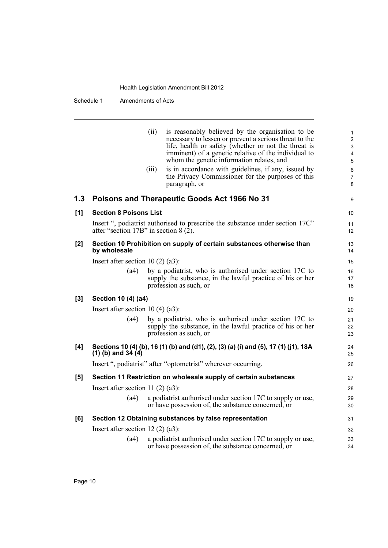Schedule 1 Amendments of Acts

|     |                                         | (ii)<br>is reasonably believed by the organisation to be<br>necessary to lessen or prevent a serious threat to the<br>life, health or safety (whether or not the threat is<br>imminent) of a genetic relative of the individual to<br>whom the genetic information relates, and<br>is in accordance with guidelines, if any, issued by<br>(iii)<br>the Privacy Commissioner for the purposes of this<br>paragraph, or | 1<br>$\overline{2}$<br>3<br>4<br>5<br>6<br>$\overline{7}$<br>8 |
|-----|-----------------------------------------|-----------------------------------------------------------------------------------------------------------------------------------------------------------------------------------------------------------------------------------------------------------------------------------------------------------------------------------------------------------------------------------------------------------------------|----------------------------------------------------------------|
| 1.3 |                                         | Poisons and Therapeutic Goods Act 1966 No 31                                                                                                                                                                                                                                                                                                                                                                          | 9                                                              |
| [1] | <b>Section 8 Poisons List</b>           |                                                                                                                                                                                                                                                                                                                                                                                                                       | 10                                                             |
|     | after "section 17B" in section $8(2)$ . | Insert ", podiatrist authorised to prescribe the substance under section 17C"                                                                                                                                                                                                                                                                                                                                         | 11<br>12                                                       |
| [2] | by wholesale                            | Section 10 Prohibition on supply of certain substances otherwise than                                                                                                                                                                                                                                                                                                                                                 | 13<br>14                                                       |
|     | Insert after section 10 $(2)$ $(a3)$ :  |                                                                                                                                                                                                                                                                                                                                                                                                                       | 15                                                             |
|     | (a4)                                    | by a podiatrist, who is authorised under section 17C to<br>supply the substance, in the lawful practice of his or her<br>profession as such, or                                                                                                                                                                                                                                                                       | 16<br>17<br>18                                                 |
| [3] | Section 10 (4) (a4)                     |                                                                                                                                                                                                                                                                                                                                                                                                                       | 19                                                             |
|     | Insert after section 10 $(4)$ $(a3)$ :  |                                                                                                                                                                                                                                                                                                                                                                                                                       | 20                                                             |
|     | (a4)                                    | by a podiatrist, who is authorised under section 17C to<br>supply the substance, in the lawful practice of his or her<br>profession as such, or                                                                                                                                                                                                                                                                       | 21<br>22<br>23                                                 |
| [4] | $(1)$ (b) and 34 $(4)$                  | Sections 10 (4) (b), 16 (1) (b) and (d1), (2), (3) (a) (i) and (5), 17 (1) (j1), 18A                                                                                                                                                                                                                                                                                                                                  | 24<br>25                                                       |
|     |                                         | Insert ", podiatrist" after "optometrist" wherever occurring.                                                                                                                                                                                                                                                                                                                                                         | 26                                                             |
| [5] |                                         | Section 11 Restriction on wholesale supply of certain substances                                                                                                                                                                                                                                                                                                                                                      | 27                                                             |
|     | Insert after section 11 $(2)$ $(a3)$ :  |                                                                                                                                                                                                                                                                                                                                                                                                                       | 28                                                             |
|     | (a4)                                    | a podiatrist authorised under section 17C to supply or use,<br>or have possession of, the substance concerned, or                                                                                                                                                                                                                                                                                                     | 29<br>30                                                       |
| [6] |                                         | Section 12 Obtaining substances by false representation                                                                                                                                                                                                                                                                                                                                                               | 31                                                             |
|     | Insert after section $12(2)(a3)$ :      |                                                                                                                                                                                                                                                                                                                                                                                                                       | 32                                                             |
|     | (a4)                                    | a podiatrist authorised under section 17C to supply or use,<br>or have possession of, the substance concerned, or                                                                                                                                                                                                                                                                                                     | 33<br>34                                                       |
|     |                                         |                                                                                                                                                                                                                                                                                                                                                                                                                       |                                                                |